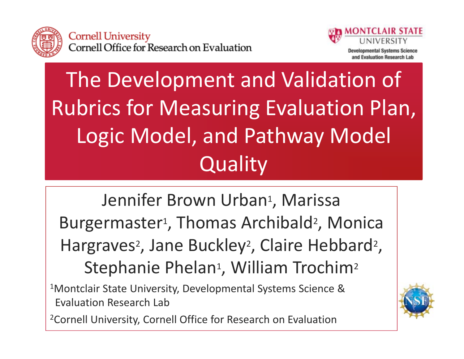



## The Development and Validation of Rubrics for Measuring Evaluation Plan, Logic Model, and Pathway Model **Quality**

Jennifer Brown Urban<sup>1</sup>, Marissa Burgermaster<sup>1</sup>, Thomas Archibald<sup>2</sup>, Monica Hargraves<sup>2</sup>, Jane Buckley<sup>2</sup>, Claire Hebbard<sup>2</sup>, Stephanie Phelan<sup>1</sup>, William Trochim<sup>2</sup>  $^{\rm 1}$ Montclair State University, Developmental Systems Science & Evaluation Research Lab

<sup>2</sup>Cornell University, Cornell Office for Research on Evaluation

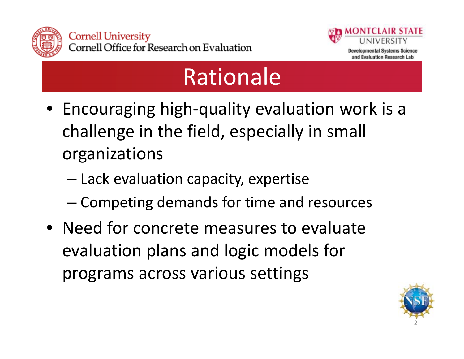



### Rationale

- Encouraging high‐quality evaluation work is <sup>a</sup> challenge in the field, especially in small organizations
	- Lack evaluation capacity, expertise
	- –Competing demands for time and resources
- Need for concrete measures to evaluate evaluation plans and logic models for programs across various settings

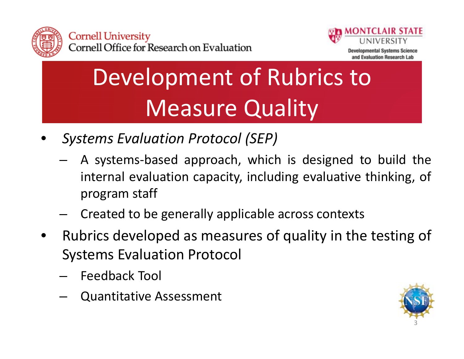



# Development of Rubrics to Measure Quality

- • *Systems Evaluation Protocol (SEP)*
	- A systems‐based approach, which is designed to build the internal evaluation capacity, including evaluative thinking, of program staff
	- –Created to be generally applicable across contexts
- • Rubrics developed as measures of quality in the testing of Systems Evaluation Protocol
	- Feedback Tool
	- Quantitative Assessment

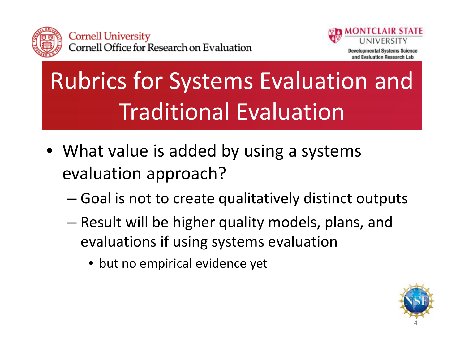



# Rubrics for Systems Evaluation and Traditional Evaluation

- What value is added by using <sup>a</sup> systems evaluation approach?
	- –Goal is not to create qualitatively distinct outputs
	- – Result will be higher quality models, plans, and evaluations if using systems evaluation
		- but no empirical evidence yet

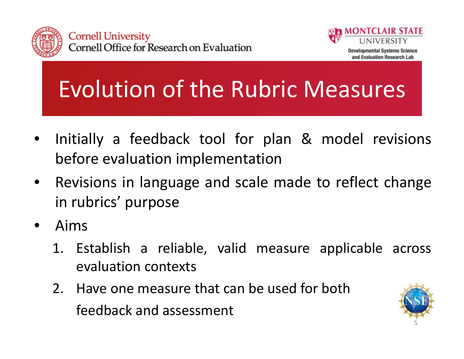



Evolution of the Rubric Measures

- • Initially <sup>a</sup> feedback tool for plan & model revisions before evaluation implementation
- • Revisions in language and scale made to reflect change in rubrics' purpose
- • Aims
	- 1. Establish <sup>a</sup> reliable, valid measure applicable across evaluation contexts
	- 2. Have one measure that can be used for both feedback and assessment

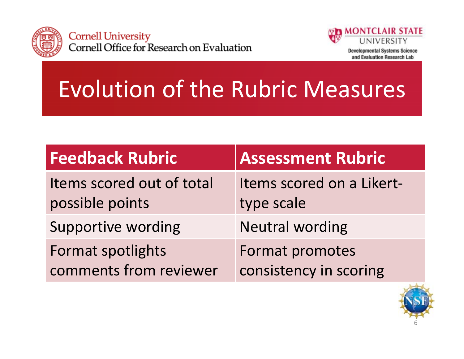



**Developmental Systems Science** and Evaluation Research Lab

## Evolution of the Rubric Measures

| <b>Feedback Rubric</b>                       | <b>Assessment Rubric</b>                |
|----------------------------------------------|-----------------------------------------|
| Items scored out of total<br>possible points | Items scored on a Likert-<br>type scale |
| <b>Supportive wording</b>                    | <b>Neutral wording</b>                  |
| Format spotlights                            | Format promotes                         |
| comments from reviewer                       | consistency in scoring                  |

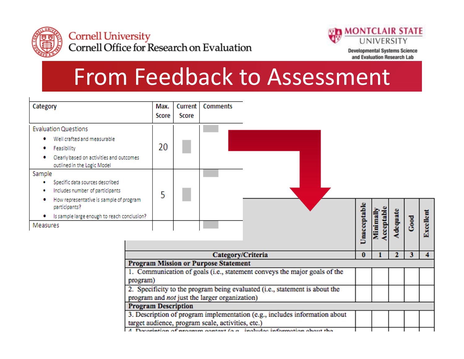



**Developmental Systems Science** and Evaluation Research Lab

#### From Feedback to Assessment

| Category                                                                                                                                                                                                                           | Max.<br>Score                                                                                                                   | Current<br>Score | <b>Comments</b>                             |                                                                           |  |              |                        |          |      |                  |
|------------------------------------------------------------------------------------------------------------------------------------------------------------------------------------------------------------------------------------|---------------------------------------------------------------------------------------------------------------------------------|------------------|---------------------------------------------|---------------------------------------------------------------------------|--|--------------|------------------------|----------|------|------------------|
| <b>Evaluation Questions</b><br>Well crafted and measurable<br>Feasibility<br>Clearly based on activities and outcomes                                                                                                              | 20                                                                                                                              |                  |                                             |                                                                           |  |              |                        |          |      |                  |
| outlined in the Logic Model<br>Sample<br>Specific data sources described<br>Includes number of participants<br>How representative is sample of program<br>participants?<br>Is sample large enough to reach conclusion?<br>Measures | 5                                                                                                                               |                  |                                             |                                                                           |  | Unacceptable | Minimally<br>Acceptabl | Adequate | Good | <b>Excellent</b> |
|                                                                                                                                                                                                                                    |                                                                                                                                 |                  | Category/Criteria                           |                                                                           |  | $\bf{0}$     |                        | 2        | 3    |                  |
|                                                                                                                                                                                                                                    |                                                                                                                                 |                  | <b>Program Mission or Purpose Statement</b> |                                                                           |  |              |                        |          |      |                  |
|                                                                                                                                                                                                                                    | program)                                                                                                                        |                  |                                             | 1. Communication of goals (i.e., statement conveys the major goals of the |  |              |                        |          |      |                  |
|                                                                                                                                                                                                                                    | 2. Specificity to the program being evaluated (i.e., statement is about the<br>program and not just the larger organization)    |                  |                                             |                                                                           |  |              |                        |          |      |                  |
| <b>Program Description</b>                                                                                                                                                                                                         |                                                                                                                                 |                  |                                             |                                                                           |  |              |                        |          |      |                  |
|                                                                                                                                                                                                                                    | 3. Description of program implementation (e.g., includes information about<br>target audience, program scale, activities, etc.) |                  |                                             |                                                                           |  |              |                        |          |      |                  |

A Decembrican of anomam context (a a includes information chout the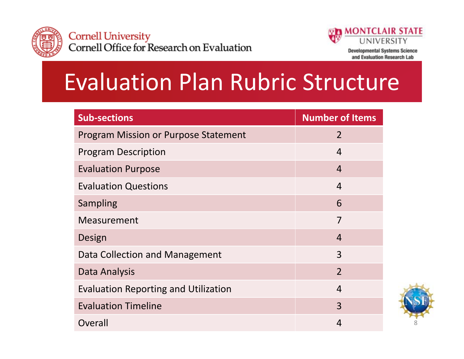



and Evaluation Research Lab

#### Evaluation Plan Rubric Structure

| <b>Sub-sections</b>                         | <b>Number of Items</b> |
|---------------------------------------------|------------------------|
| <b>Program Mission or Purpose Statement</b> | $\overline{2}$         |
| <b>Program Description</b>                  | $\overline{4}$         |
| <b>Evaluation Purpose</b>                   | $\overline{4}$         |
| <b>Evaluation Questions</b>                 | $\overline{4}$         |
| Sampling                                    | 6                      |
| Measurement                                 | 7                      |
| Design                                      | $\overline{4}$         |
| Data Collection and Management              | 3                      |
| Data Analysis                               | $\overline{2}$         |
| <b>Evaluation Reporting and Utilization</b> | $\overline{4}$         |
| <b>Evaluation Timeline</b>                  | 3                      |
| Overall                                     | $\overline{4}$         |

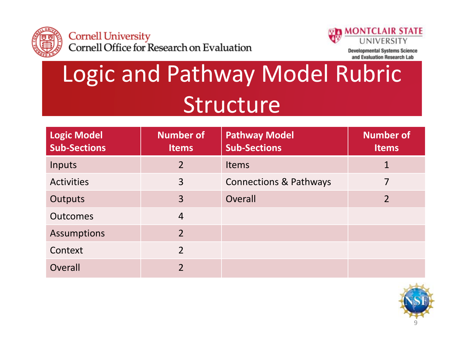



**Developmental Systems Science** and Evaluation Research Lab

### Logic and Pathway Model Rubric Structure

| Logic Model<br><b>Sub-Sections</b> | <b>Number of</b><br><b>Items</b> | <b>Pathway Model</b><br><b>Sub-Sections</b> | <b>Number of</b><br><b>Items</b> |
|------------------------------------|----------------------------------|---------------------------------------------|----------------------------------|
| Inputs                             | $\overline{2}$                   | <b>Items</b>                                | 1                                |
| <b>Activities</b>                  | 3                                | <b>Connections &amp; Pathways</b>           |                                  |
| <b>Outputs</b>                     | $\overline{3}$                   | Overall                                     | $\overline{2}$                   |
| <b>Outcomes</b>                    | $\overline{4}$                   |                                             |                                  |
| <b>Assumptions</b>                 | $\overline{2}$                   |                                             |                                  |
| Context                            | $\overline{2}$                   |                                             |                                  |
| Overall                            | $\overline{2}$                   |                                             |                                  |

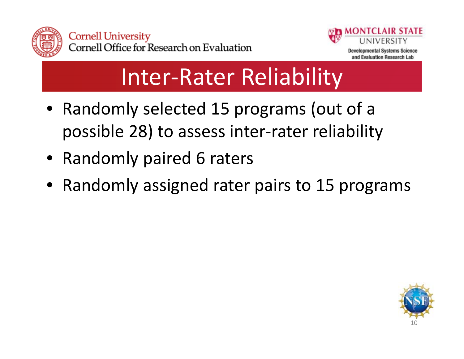



#### Inter‐Rater Reliability

- Randomly selected 15 programs (out of <sup>a</sup> possible 28) to assess inter‐rater reliability
- Randomly paired 6 raters
- Randomly assigned rater pairs to 15 programs

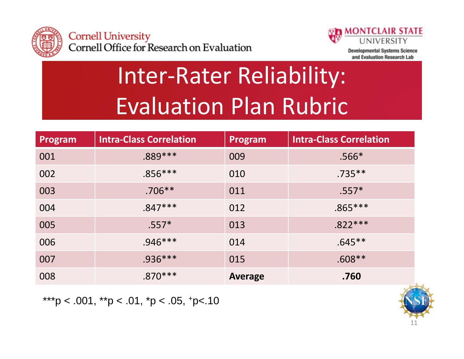



**Developmental Systems Science** and Evaluation Research Lab

# Inter‐Rater Reliability: Evaluation Plan Rubric

| Program | <b>Intra-Class Correlation</b> | Program        | <b>Intra-Class Correlation</b> |
|---------|--------------------------------|----------------|--------------------------------|
| 001     | $.889***$                      | 009            | $.566*$                        |
| 002     | $.856***$                      | 010            | $.735***$                      |
| 003     | $.706***$                      | 011            | $.557*$                        |
| 004     | $.847***$                      | 012            | $.865***$                      |
| 005     | $.557*$                        | 013            | $.822***$                      |
| 006     | $.946***$                      | 014            | $.645***$                      |
| 007     | $.936***$                      | 015            | $.608**$                       |
| 008     | $.870***$                      | <b>Average</b> | .760                           |

\*\*\*p < .001, \*\*p < .01, \*p < .05, +p < .10

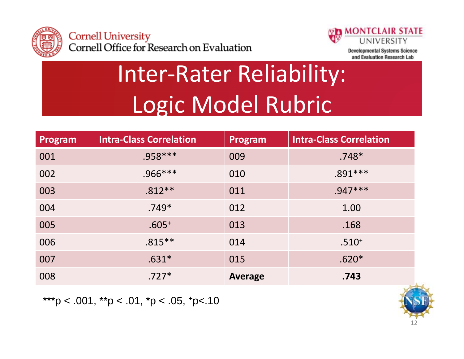



### Inter‐Rater Reliability: Logic Model Rubric

| Program | <b>Intra-Class Correlation</b> | Program        | <b>Intra-Class Correlation</b> |
|---------|--------------------------------|----------------|--------------------------------|
| 001     | $.958***$                      | 009            | $.748*$                        |
| 002     | $.966***$                      | 010            | $.891***$                      |
| 003     | $.812**$                       | 011            | $.947***$                      |
| 004     | $.749*$                        | 012            | 1.00                           |
| 005     | $.605+$                        | 013            | .168                           |
| 006     | $.815***$                      | 014            | $.510^{+}$                     |
| 007     | $.631*$                        | 015            | $.620*$                        |
| 008     | $.727*$                        | <b>Average</b> | .743                           |

\*\*\*p < .001, \*\*p < .01, \*p < .05, +p < .10

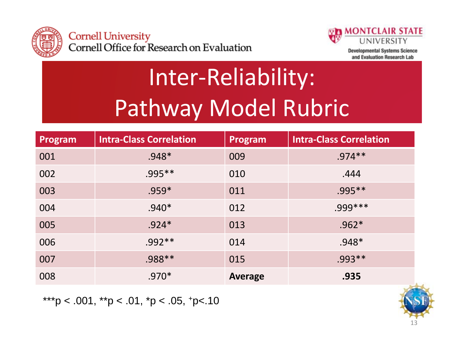



**Developmental Systems Science** and Evaluation Research Lab

# Inter‐Reliability: Pathway Model Rubric

| Program | <b>Intra-Class Correlation</b> | Program        | <b>Intra-Class Correlation</b> |
|---------|--------------------------------|----------------|--------------------------------|
| 001     | $.948*$                        | 009            | $.974***$                      |
| 002     | $.995***$                      | 010            | .444                           |
| 003     | $.959*$                        | 011            | $.995***$                      |
| 004     | $.940*$                        | 012            | $.999***$                      |
| 005     | $.924*$                        | 013            | $.962*$                        |
| 006     | $.992**$                       | 014            | $.948*$                        |
| 007     | .988 **                        | 015            | $.993**$                       |
| 008     | $.970*$                        | <b>Average</b> | .935                           |

\*\*\*p < .001, \*\*p < .01, \*p < .05, +p < .10

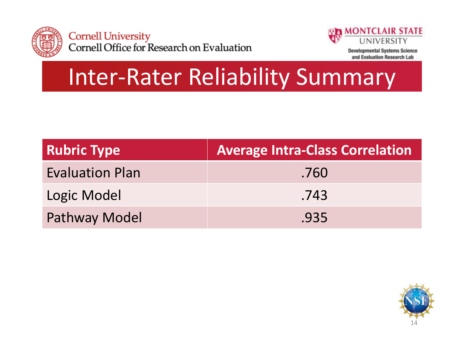



#### Inter‐Rater Reliability Summary

| <b>Rubric Type</b>     | <b>Average Intra-Class Correlation</b> |
|------------------------|----------------------------------------|
| <b>Evaluation Plan</b> | .760                                   |
| Logic Model            | .743                                   |
| <b>Pathway Model</b>   | .935                                   |

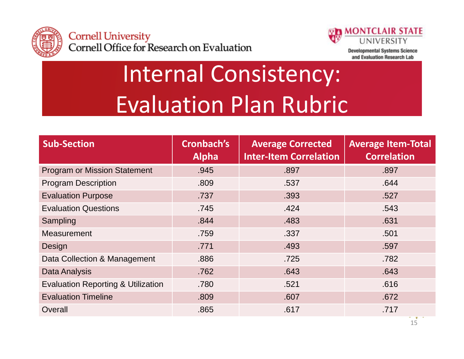



**Developmental Systems Science** and Evaluation Research Lab

# Internal Consistency: Evaluation Plan Rubric

| <b>Sub-Section</b>                            | Cronbach's<br><b>Alpha</b> | <b>Average Corrected</b><br><b>Inter-Item Correlation</b> | <b>Average Item-Total</b><br><b>Correlation</b> |
|-----------------------------------------------|----------------------------|-----------------------------------------------------------|-------------------------------------------------|
| <b>Program or Mission Statement</b>           | .945                       | .897                                                      | .897                                            |
| <b>Program Description</b>                    | .809                       | .537                                                      | .644                                            |
| <b>Evaluation Purpose</b>                     | .737                       | .393                                                      | .527                                            |
| <b>Evaluation Questions</b>                   | .745                       | .424                                                      | .543                                            |
| Sampling                                      | .844                       | .483                                                      | .631                                            |
| <b>Measurement</b>                            | .759                       | .337                                                      | .501                                            |
| Design                                        | .771                       | .493                                                      | .597                                            |
| Data Collection & Management                  | .886                       | .725                                                      | .782                                            |
| <b>Data Analysis</b>                          | .762                       | .643                                                      | .643                                            |
| <b>Evaluation Reporting &amp; Utilization</b> | .780                       | .521                                                      | .616                                            |
| <b>Evaluation Timeline</b>                    | .809                       | .607                                                      | .672                                            |
| Overall                                       | .865                       | .617                                                      | .717                                            |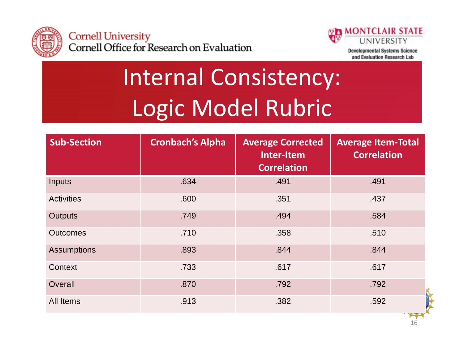



**Developmental Systems Science** and Evaluation Research Lab

16

# Internal Consistency: Logic Model Rubric

| <b>Sub-Section</b> | <b>Cronbach's Alpha</b> | <b>Average Corrected</b><br>Inter-Item<br><b>Correlation</b> | <b>Average Item-Total</b><br><b>Correlation</b> |
|--------------------|-------------------------|--------------------------------------------------------------|-------------------------------------------------|
| Inputs             | .634                    | .491                                                         | .491                                            |
| <b>Activities</b>  | .600                    | .351                                                         | .437                                            |
| <b>Outputs</b>     | .749                    | .494                                                         | .584                                            |
| <b>Outcomes</b>    | .710                    | .358                                                         | .510                                            |
| <b>Assumptions</b> | .893                    | .844                                                         | .844                                            |
| Context            | .733                    | .617                                                         | .617                                            |
| Overall            | .870                    | .792                                                         | .792                                            |
| All Items          | .913                    | .382                                                         | .592<br><b>THE REAL</b>                         |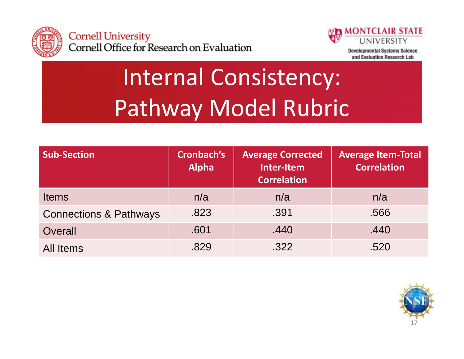



**Developmental Systems Science** and Evaluation Research Lab

# Internal Consistency: Pathway Model Rubric

| <b>Sub-Section</b>                | Cronbach's<br><b>Alpha</b> | <b>Average Corrected</b><br>Inter-Item<br><b>Correlation</b> | <b>Average Item-Total</b><br><b>Correlation</b> |
|-----------------------------------|----------------------------|--------------------------------------------------------------|-------------------------------------------------|
| <b>Items</b>                      | n/a                        | n/a                                                          | n/a                                             |
| <b>Connections &amp; Pathways</b> | .823                       | .391                                                         | .566                                            |
| Overall                           | .601                       | .440                                                         | .440                                            |
| All Items                         | .829                       | .322                                                         | .520                                            |

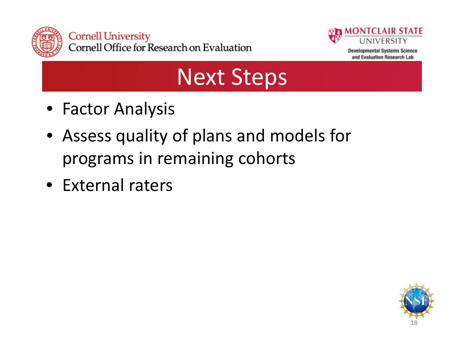



#### Next Steps

- Factor Analysis
- Assess quality of plans and models for programs in remaining cohorts
- External raters

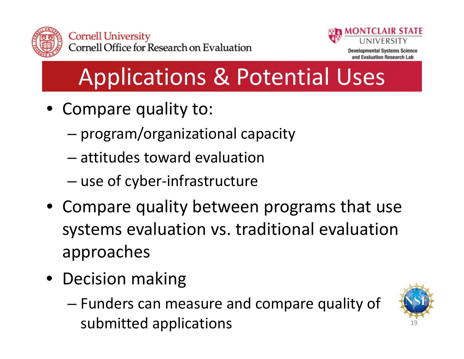



### Applications & Potential Uses

- Compare quality to:
	- – $-$  program/organizational capacity
	- attitudes toward evaluation
	- use of cyber-infrastructure
- Compare quality between programs that use systems evaluation vs. traditional evaluation approaches
- Decision making
	- – Funders can measure and compare quality of submitted applications  $19$

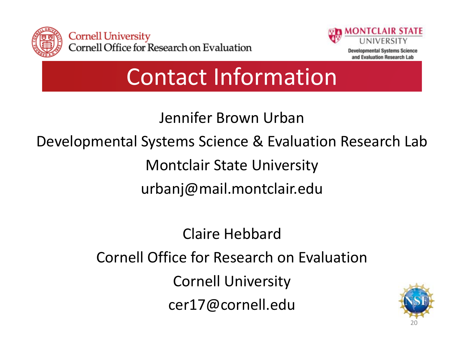



Contact Information

Jennifer Brown Urban

Developmental Systems Science & Evaluation Research Lab

Montclair State University

urbanj@mail.montclair.edu

Claire HebbardCornell Office for Research on Evaluation Cornell University cer17@cornell.edu

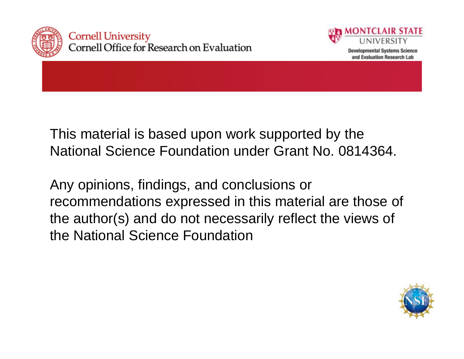



This material is based upon work supported by the National Science Foundation under Grant No. 0814364.

Any opinions, findings, and conclusions or recommendations expressed in this material are those of the author(s) and do not necessarily reflect the views of the National Science Foundation